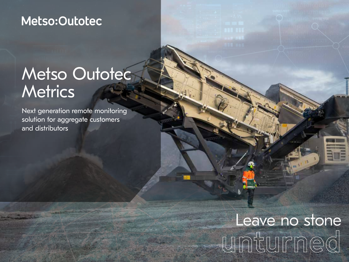### Metso:Outotec

## Metso Outotec **Metrics**

Next generation remote monitoring solution for aggregate customers and distributors

# Leave no stone **unturned**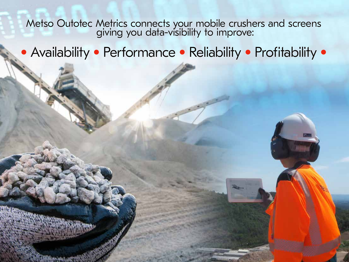Metso Outotec Metrics connects your mobile crushers and screens giving you data-visibility to improve:

• Availability • Performance • Reliability • Profitability •

2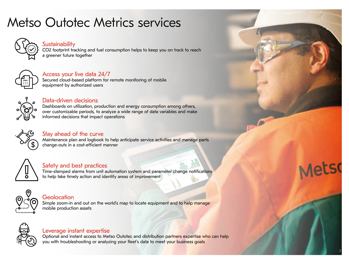### Metso Outotec Metrics services



#### **Sustainability**

CO2 footprint tracking and fuel consumption helps to keep you on track to reach a greener future together



#### Access your live data 24/7

Secured cloud-based platform for remote monitoring of mobile equipment by authorized users



#### Data-driven decisions

Dashboards on utilization, production and energy consumption among others, over customizable periods, to analyze a wide range of data variables and make informed decisions that impact operations



#### Stay ahead of the curve

Maintenance plan and logbook to help anticipate service activities and manage parts change-outs in a cost-efficient manner



#### Safety and best practices

Time-stamped alarms from unit automation system and parameter change notifications to help take timely action and identify areas of improvement



#### Geolocation

Simple zoom-in and out on the world's map to locate equipment and to help manage mobile production assets



#### Leverage instant expertise

Optional and instant access to Metso Outotec and distribution partners expertise who can help you with troubleshooting or analyzing your fleet's data to meet your business goals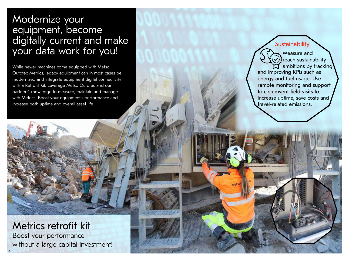#### Modernize your equipment, become digitally current and make your data work for you!

While newer machines come equipped with Metso Outotec Metrics, legacy equipment can in most cases be modernized and integrate equipment digital connectivity with a Retrofit Kit. Leverage Metso Outotec and our partners' knowledge to measure, maintain and manage with Metrics. Boost your equipment's performance and increase both uptime and overall asset life.



#### Metrics retrofit kit Boost your performance without a large capital investment!

4

**Sustainability** 

reach sustainability  $\mathfrak{A}$  ambitions by tracking and improving KPIs such as energy and fuel usage. Use remote monitoring and support to circumvent field visits to increase uptime, save costs and travel-related emissions.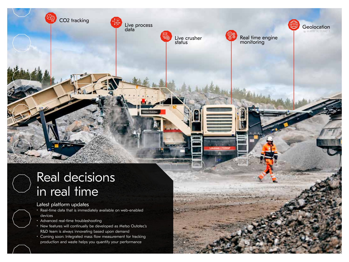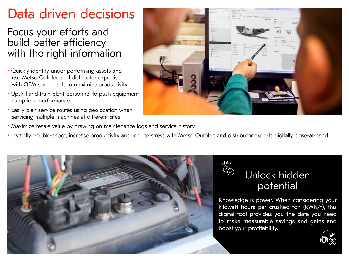### Data driven decisions

### Focus your efforts and build better efficiency with the right information

- Quickly identify under-performing assets and use Metso Outotec and distributor expertise with OEM spare parts to maximize productivity
- Upskill and train plant personnel to push equipment to optimal performance
- Easily plan service routes using geolocation when servicing multiple machines at different sites
- Maximize resale value by drawing on maintenance logs and service history
- Instantly trouble-shoot, increase productivity and reduce stress with Metso Outotec and distributor experts digitally close-at-hand





Knowledge is power. When considering your kilowatt hours per crushed ton (kWh/t), this digital tool provides you the data you need to make measurable savings and gains and boost your profitability.



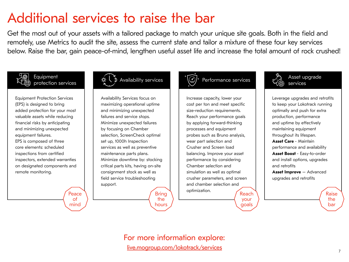### Additional services to raise the bar

Get the most out of your assets with a tailored package to match your unique site goals. Both in the field and remotely, use Metrics to audit the site, assess the current state and tailor a mixture of these four key services below. Raise the bar, gain peace-of-mind, lengthen useful asset life and increase the total amount of rock crushed!



**Equipment** 

Equipment Protection Services (EPS) is designed to bring added protection for your most valuable assets while reducing financial risks by anticipating and minimizing unexpected equipment failures. EPS is composed of three core elements: scheduled inspections from certified inspectors, extended warranties on designated components and remote monitoring.

> Peace of mind



Availability Services focus on maximizing operational uptime and minimizing unexpected failures and service stops. Minimize unexpected failures by focusing on Chamber selection, ScreenCheck optimal set up, 1000h Inspection services as well as preventive maintenance parts plans. Minimize downtime by: stocking critical parts kits, having on-site consignment stock as well as field service troubleshooting support.

> Bring the hours



Increase capacity, lower your cost per ton and meet specific size-reduction requirements. Reach your performance goals by applying forward-thinking processes and equipment probes such as Bruno analysis, wear part selection and Crusher and Screen load balancing. Improve your asset performance by considering Chamber selection and simulation as well as optimal crusher parameters, and screen and chamber selection and optimization. Reach





Asset upgrade services

Leverage upgrades and retrofits to keep your Lokotrack running optimally and push for extra production, performance and uptime by effectively maintaining equipment throughout its lifespan. **Asset Care** - Maintain performance and availability **Asset Boost** - Easy-to-order and install options, upgrades and retrofits

**Asset Improve** – Advanced upgrades and retrofits

[live.mogroup.com/lokotrack/services](http://live.mogroup.com/lokotrack/services) For more information explore: Raise the bar